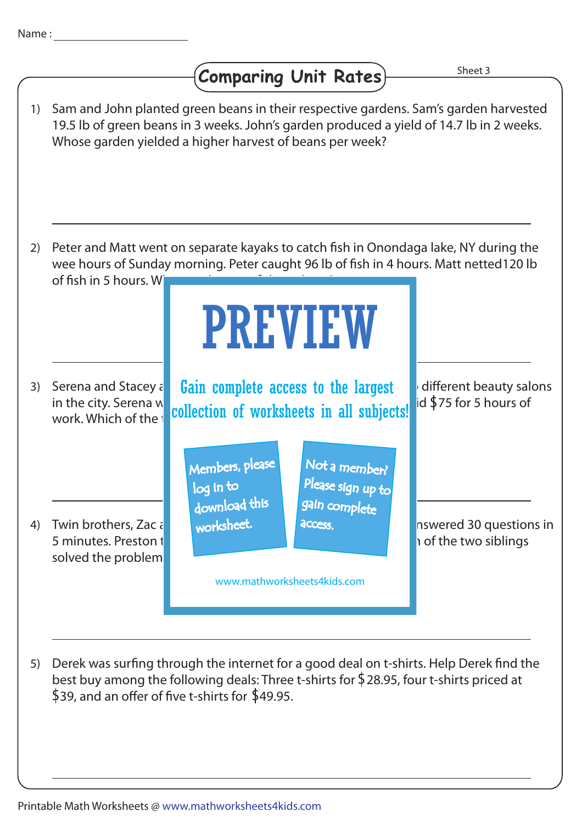## Comparing Unit Rates)

Sheet 3